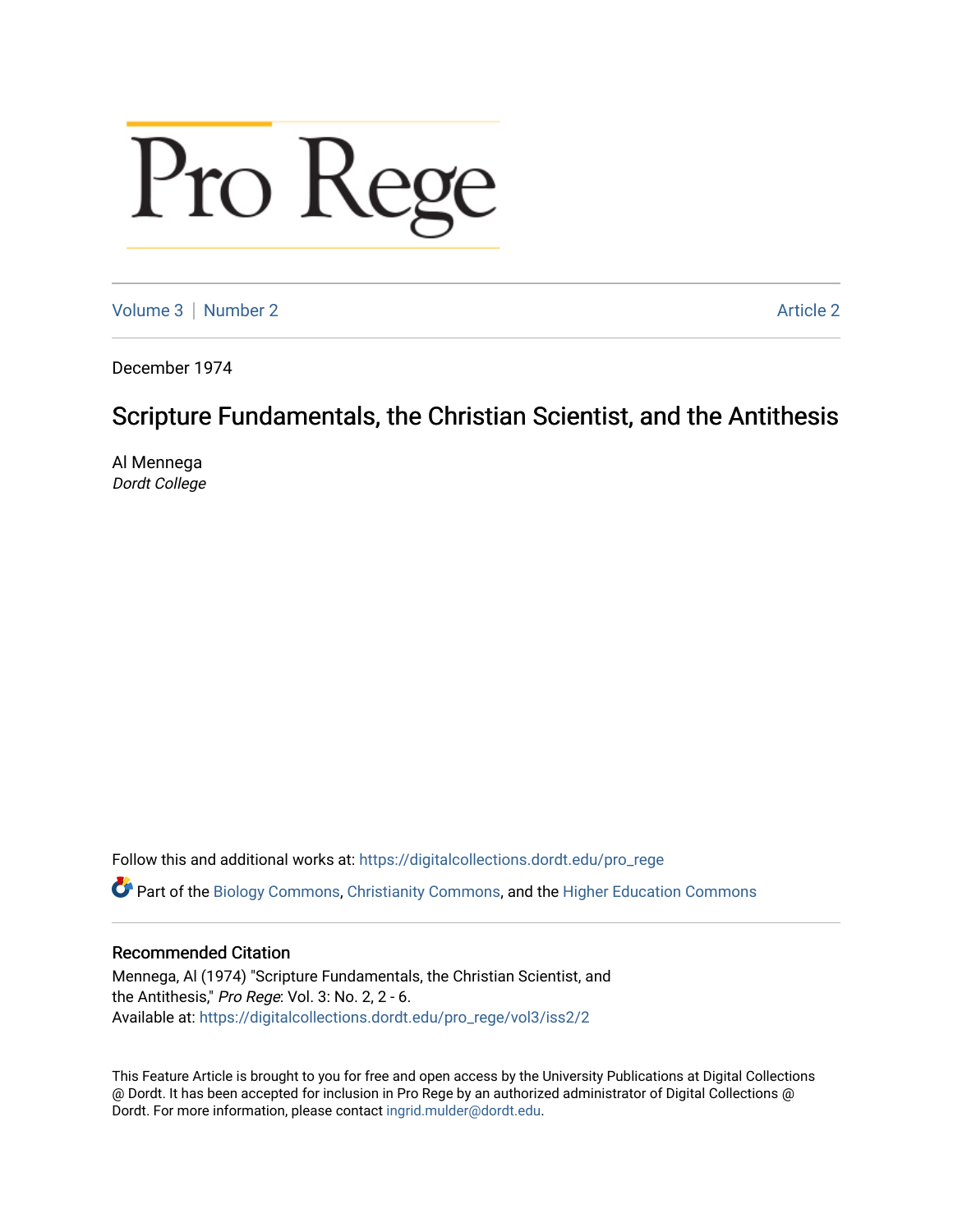# Pro Rege

[Volume 3](https://digitalcollections.dordt.edu/pro_rege/vol3) [Number 2](https://digitalcollections.dordt.edu/pro_rege/vol3/iss2) Article 2

December 1974

# Scripture Fundamentals, the Christian Scientist, and the Antithesis

Al Mennega Dordt College

Follow this and additional works at: [https://digitalcollections.dordt.edu/pro\\_rege](https://digitalcollections.dordt.edu/pro_rege?utm_source=digitalcollections.dordt.edu%2Fpro_rege%2Fvol3%2Fiss2%2F2&utm_medium=PDF&utm_campaign=PDFCoverPages) 

Part of the [Biology Commons,](http://network.bepress.com/hgg/discipline/41?utm_source=digitalcollections.dordt.edu%2Fpro_rege%2Fvol3%2Fiss2%2F2&utm_medium=PDF&utm_campaign=PDFCoverPages) [Christianity Commons,](http://network.bepress.com/hgg/discipline/1181?utm_source=digitalcollections.dordt.edu%2Fpro_rege%2Fvol3%2Fiss2%2F2&utm_medium=PDF&utm_campaign=PDFCoverPages) and the [Higher Education Commons](http://network.bepress.com/hgg/discipline/1245?utm_source=digitalcollections.dordt.edu%2Fpro_rege%2Fvol3%2Fiss2%2F2&utm_medium=PDF&utm_campaign=PDFCoverPages) 

#### Recommended Citation

Mennega, Al (1974) "Scripture Fundamentals, the Christian Scientist, and the Antithesis," Pro Rege: Vol. 3: No. 2, 2 - 6. Available at: [https://digitalcollections.dordt.edu/pro\\_rege/vol3/iss2/2](https://digitalcollections.dordt.edu/pro_rege/vol3/iss2/2?utm_source=digitalcollections.dordt.edu%2Fpro_rege%2Fvol3%2Fiss2%2F2&utm_medium=PDF&utm_campaign=PDFCoverPages) 

This Feature Article is brought to you for free and open access by the University Publications at Digital Collections @ Dordt. It has been accepted for inclusion in Pro Rege by an authorized administrator of Digital Collections @ Dordt. For more information, please contact [ingrid.mulder@dordt.edu.](mailto:ingrid.mulder@dordt.edu)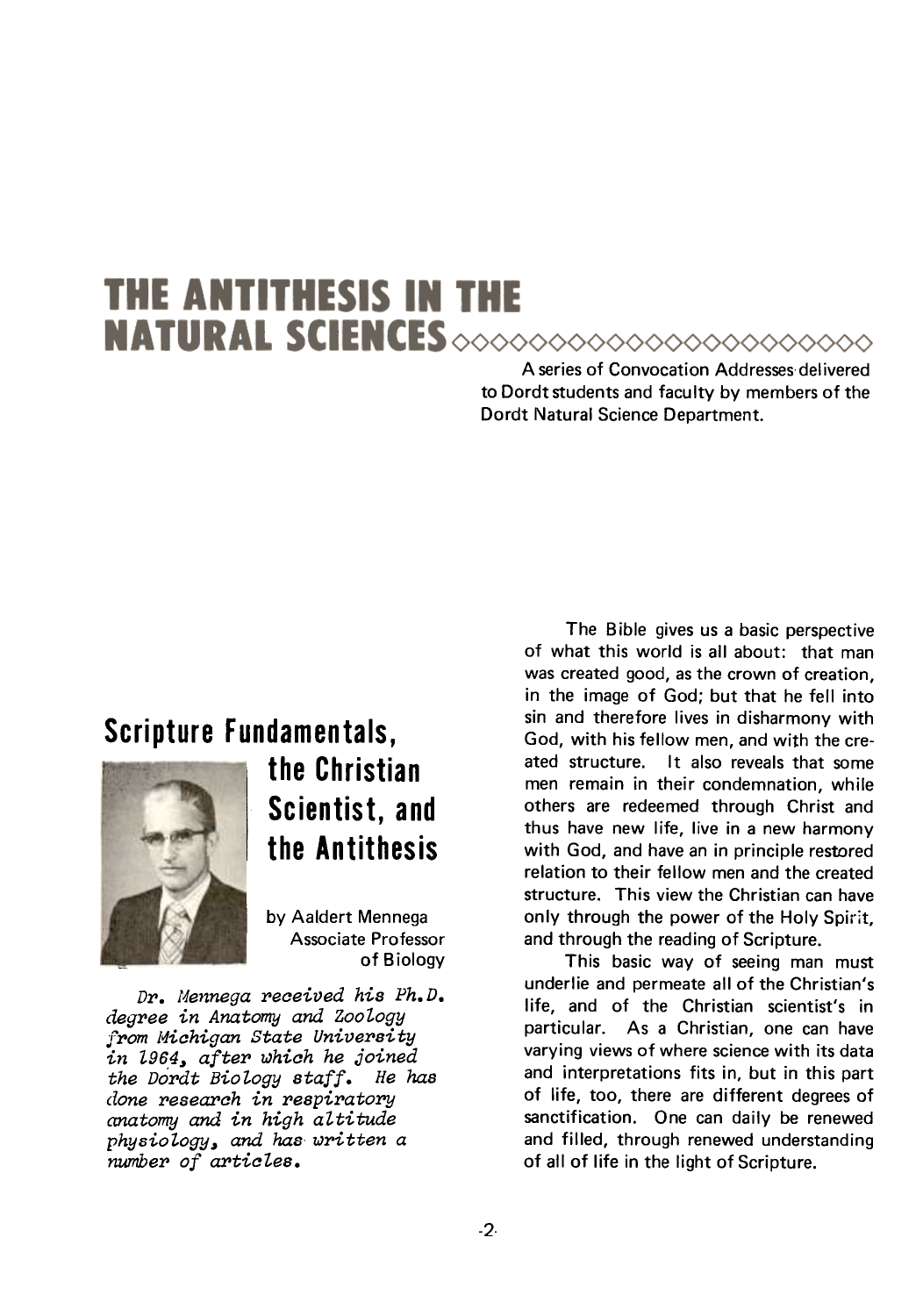# **THE ANTITHESIS IN THE** NATURAL SCIENCES >>>>>>>>>>>>>>>>>>>>>>>>>>>

A series of Convocation Addresses delivered to Dordt students and faculty by members of the Dordt Natural Science Department.

### Scripture Fundamentals,



the Christian Scientist, and the Antithesis

by Aaldert Mennega Associate Professor of Biology

Dr. Mennega received his Ph.D. degree in Anatomy and Zoology from Michigan State University in 1964, after which he joined the Dordt Biology staff. He has done research in respiratory anatomy and in high altitude physiology, and has written a number of articles.

The Bible gives us a basic perspective of what this world is all about: that man was created good, as the crown of creation, in the image of God; but that he fell into sin and therefore lives in disharmony with God, with his fellow men, and with the created structure. It also reveals that some men remain in their condemnation, while others are redeemed through Christ and thus have new life, live in a new harmony with God, and have an in principle restored relation to their fellow men and the created structure. This view the Christian can have only through the power of the Holy Spirit, and through the reading of Scripture.

This basic way of seeing man must underlie and permeate all of the Christian's life, and of the Christian scientist's in particular. As a Christian, one can have varying views of where science with its data and interpretations fits in, but in this part of life, too, there are different degrees of sanctification. One can daily be renewed and filled, through renewed understanding of all of life in the light of Scripture.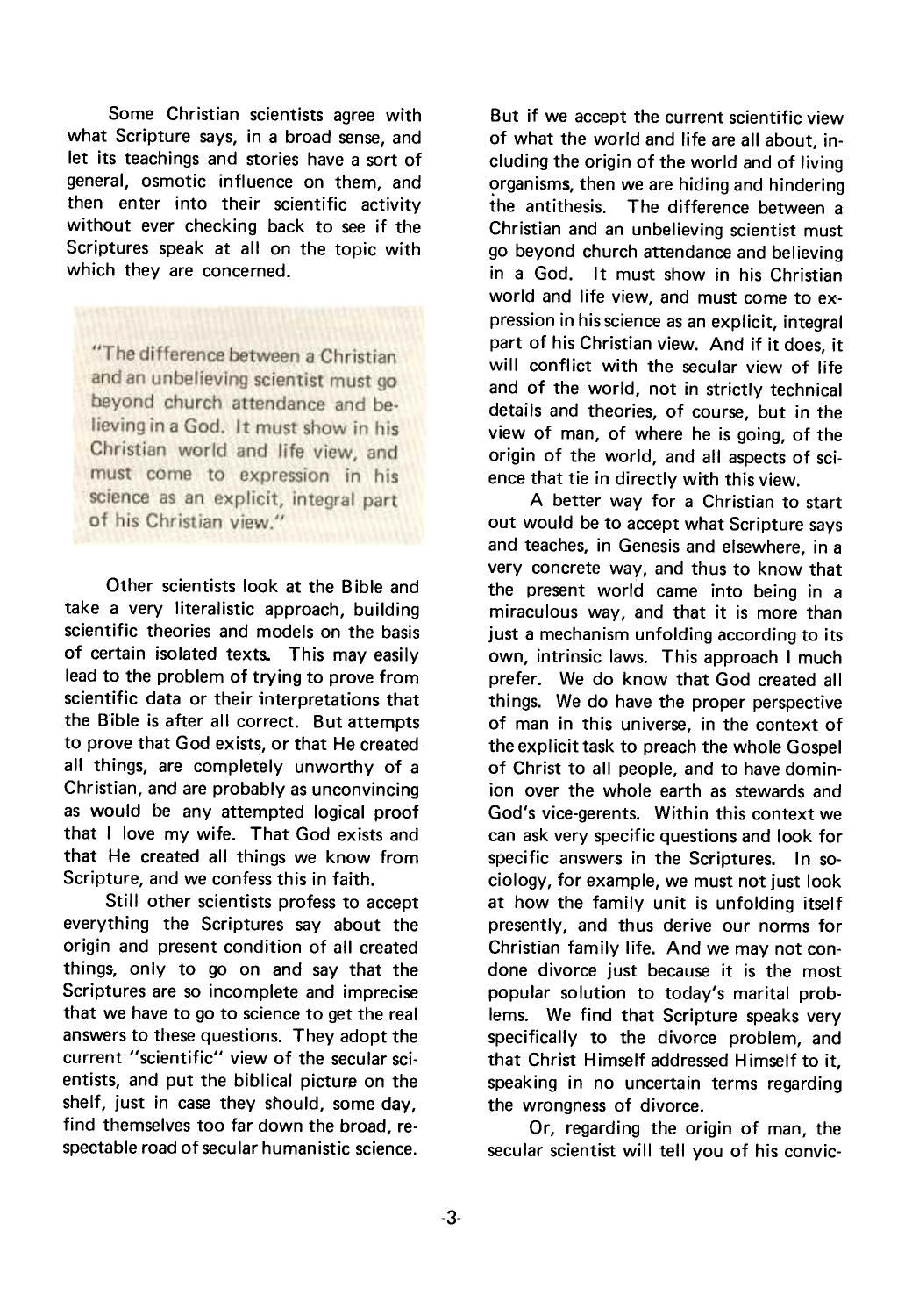Some Christian scientists agree with what Scripture says, in a broad sense, and let its teachings and stories have a sort of general, osmotic influence on them, and then enter into their scientific activity without ever checking back to see if the Scriptures speak at all on the topic with which they are concerned.

"The difference between a Christian and an unbelieving scientist must go beyond church attendance and believing in a God. It must show in his Christian world and life view, and must come to expression in his science as an explicit, integral part of his Christian view."

Other scientists look at the Bible and take a very literalistic approach, building scientific theories and models on the basis of certain isolated texts. This may easily lead to the problem of trying to prove from scientific data or their interpretations that the Bible is after all correct. But attempts to prove that God exists, or that He created all things, are completely unworthy of a Christian, and are probably as unconvincing as would be any attempted logical proof that I love my wife. That God exists and that He created all things we know from Scripture, and we confess this in faith.

Still other scientists profess to accept everything the Scriptures say about the origin and present condition of all created things, only to go on and say that the Scriptures are so incomplete and imprecise that we have to go to science to get the real answers to these questions. They adopt the current "scientific" view of the secular scientists, and put the biblical picture on the shelf, just in case they should, some day, find themselves too far down the broad, respectable road of secu lar humanistic science.

But if we accept the current scientific view of what the world and life are all about, including the origin of the world and of living organisms, then we are hiding and hindering the antithesis. The difference between a Christian and an unbelieving scientist must go beyond church attendance and believing in a God. It must show in his Christian world and life view, and must come to expression in his science as an explicit, integral part of his Christian view. And if it does, it will conflict with the secular view of life and of the world, not in strictly technical details and theories, of course, but in the view of man, of where he is going, of the origin of the world, and all aspects of science that tie in directly with this view.

A better way for a Christian to start out would be to accept what Scripture says and teaches, in Genesis and elsewhere, in a very concrete way, and thus to know that the present world came into being in a miraculous way, and that it is more than just a mechanism unfolding according to its own, intrinsic laws. This approach I much prefer. We do know that God created all things. We do have the proper perspective of man in this universe, in the context of the explicit task to preach the whole Gospel of Christ to all people, and to have dominion over the whole earth as stewards and God's vice-gerents. Within this context we can ask very specific questions and look for specific answers in the Scriptures. In sociology, for example, we must not just look at how the family unit is unfolding itself presently, and thus derive our norms for Christian family life. And we may not condone divorce just because it is the most popular solution to today's marital problems. We find that Scripture speaks very specifically to the divorce problem, and that Christ Himself addressed Himself to it, speaking in no uncertain terms regarding the wrongness of divorce.

Or, regarding the origin of man, the secular scientist will tell you of his convic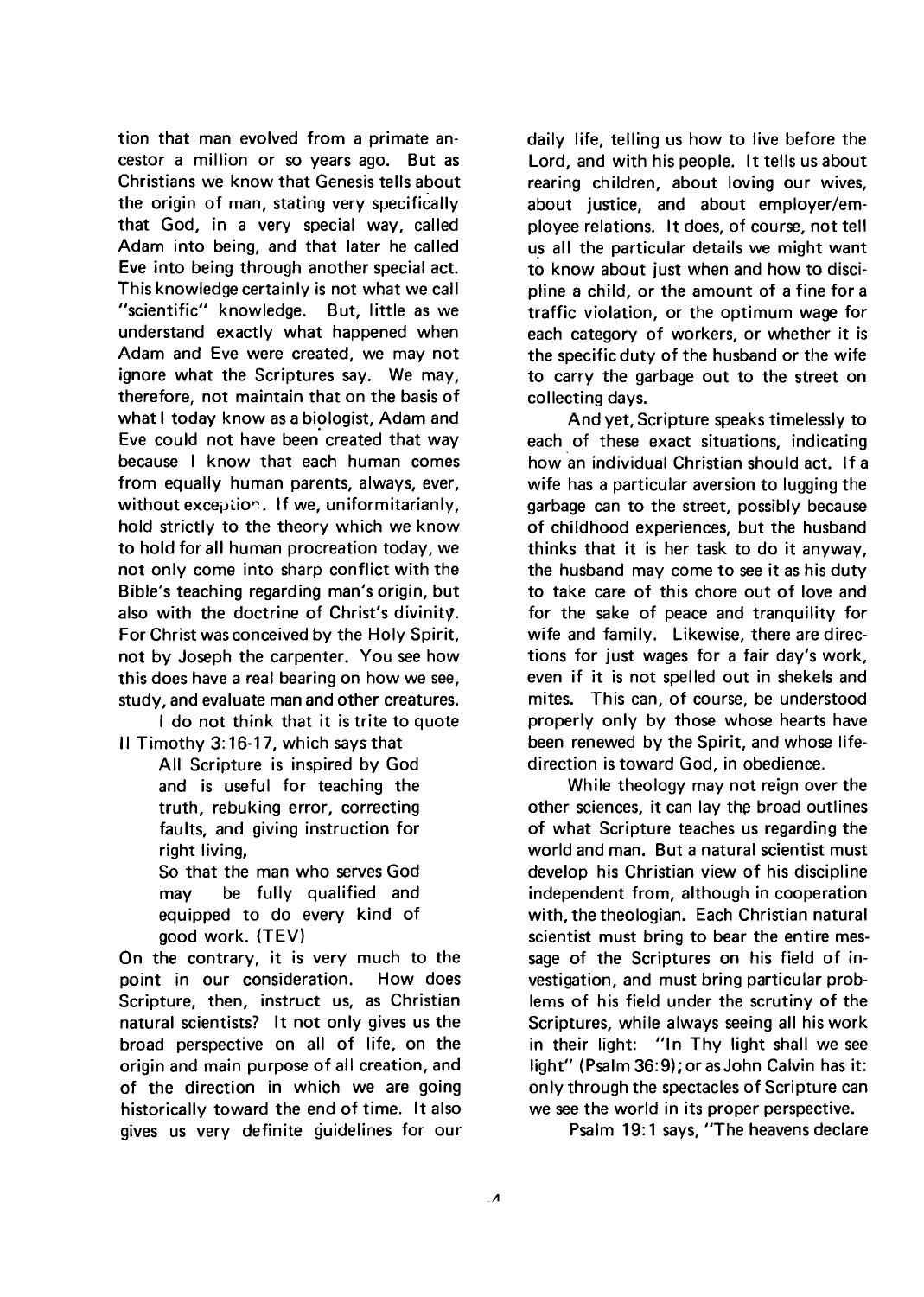tion that man evolved from a primate ancestor a million or so years ago. But as Christians we know that Genesis tells about the origin of man, stating very specifically that God, in a very special way, called Adam into being, and that later he called Eve into being through another special act. This knowledge certainly is not what we call "scientific" knowledge. But, little as we understand exactly what happened when Adam and Eve were created, we may not ignore what the Scriptures say. We may, therefore, not maintain that on the basis of what I today know as a biologist, Adam and Eve could not have been created that way because I know that each human comes from equally human parents, always, ever, without exception. If we, uniformitarianly, hold strictly to the theory which we know to hold for all human procreation today, we not only come into sharp conflict with the Bible's teaching regarding man's origin, but also with the doctrine of Christ's divinity. For Christ was conceived by the Holy Spirit, not by Joseph the carpenter. You see how this does have a real bearing on how we see, study, and evaluate man and other creatures.

I do not think that it is trite to quote II Timothy 3:16-17, which says that

All Scripture is inspired by God and is useful for teaching the truth, rebuking error, correcting faults, and giving instruction for right living,

So that the man who serves God may be fully qualified and equipped to do every kind of good work. (TEV)

On the contrary, it is very much to the point in our consideration. How does Scripture, then, instruct us, as Christian natural scientists? It not only gives us the broad perspective on all of life, on the origin and main purpose of all creation, and of the direction in which we are going historically toward the end of time. It also gives us very definite guidelines for our daily life, telling us how to live before the Lord, and with his people. It tells us about rearing children, about loving our wives, about justice, and about employer/employee relations. It does, of course, not tell us all the particular details we might want to know about just when and how to discipline a child, or the amount of a fine for a traffic violation, or the optimum wage for each category of workers, or whether it is the specific duty of the husband or the wife to carry the garbage out to the street on collecting days.

And yet, Scripture speaks timelessly to each of these exact situations, indicating how an individual Christian should act. If a wife has a particular aversion to lugging the garbage can to the street, possibly because of childhood experiences, but the husband thinks that it is her task to do it anyway, the husband may come to see it as his duty to take care of this chore out of love and for the sake of peace and tranquility for wife and family. Likewise, there are directions for just wages for a fair day's work, even if it is not spelled out in shekels and mites. This can, of course, be understood properly only by those whose hearts have been renewed by the Spirit, and whose lifedirection is toward God, in obedience.

While theology may not reign over the other sciences, it can lay the broad outlines of what Scripture teaches us regarding the world and man. But a natural scientist must develop his Christian view of his discipline independent from, although in cooperation with, the theologian. Each Christian natural scientist must bring to bear the entire message of the Scriptures on his field of investigation, and must bring particular problems of his field under the scrutiny of the Scriptures, while always seeing all his work in their light: "In Thy light shall we see light" (Psalm 36:9); or as John Calvin has it: only through the spectacles of Scripture can we see the world in its proper perspective.

Psalm 19: 1 says, "The heavens declare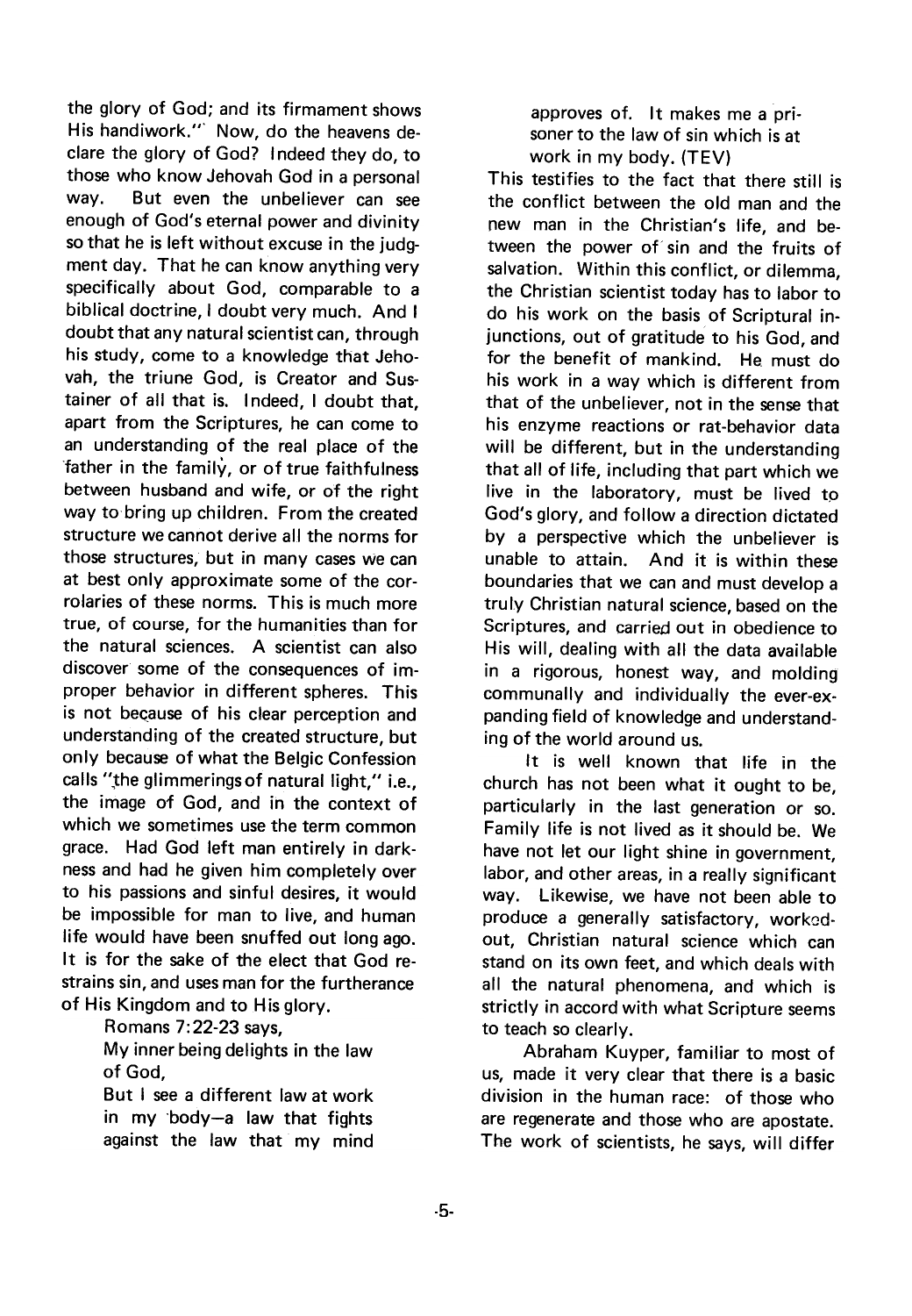the glory of God; and its firmament shows His handiwork.'" Now, do the heavens declare the glory of God? Indeed they do, to those who know Jehovah God in a personal way. But even the unbeliever can see enough of God's eternal power and divinity so that he is left without excuse in the judgment day. That he can know anything very specifically about God, comparable to a biblical doctrine, I doubt very much. And I doubt that any natural scientist can, through his study, come to a knowledge that Jehovah, the triune God, is Creator and Sustainer of all that is. I ndeed, I doubt that, apart from the Scriptures, he can come to an understanding of the real place of the father in the family, or of true faithfulness between husband and wife, or of the right way to bring up children. From the created structure we cannot derive all the norms for those structures, but in many cases we can at best only approximate some of the corrolaries of these norms. This is much more true, of course, for the humanities than for the natural sciences. A scientist can also discover some of the consequences of improper behavior in different spheres. This is not because of his clear perception and understanding of the created structure, but only because of what the Belgic Confession calls ",the glimmeringsof natural light," i.e., the image of God, and in the context of which we sometimes use the term common grace. Had God left man entirely in darkness and had he given him completely over to his passions and sinful desires, it would be impossible for man to live, and human life would have been snuffed out long ago. It is for the sake of the elect that God restrains sin, and uses man for the furtherance of His Kingdom and to His glory.

Romans 7:22-23 says,

My inner being delights in the law of God,

But I see a different law at work in my 'body-a law that fights against the law that my mind

approves of. It makes me a prisoner to the law of sin which is at work in my body. (TEV)

This testifies to the fact that there still is the conflict between the old man and the new man in the Christian's life, and between the power of sin and the fruits of salvation. Within this conflict, or dilemma, the Christian scientist today has to labor to do his work on the basis of Scriptural injunctions, out of gratitude to his God, and for the benefit of mankind. He must do his work in a way which is different from that of the unbeliever, not in the sense that his enzyme reactions or rat-behavior data will be different, but in the understanding that all of life, including that part which we live in the laboratory, must be lived to God's glory, and follow a direction dictated by a perspective which the unbeliever is unable to attain. And it is within these boundaries that we can and must develop a truly Christian natural science, based on the Scriptures, and carried out in obedience to His will, dealing with all the data available in a rigorous, honest way, and molding communally and individually the ever-expanding field of knowledge and understanding of the world around us.

It is well known that life in the church has not been what it ought to be, particularly in the last generation or so. Family life is not lived as it should be. We have not let our light shine in government, labor, and other areas, in a really significant way. Likewise, we have not been able to produce a generally satisfactory, workedout, Christian natural science which can stand on its own feet, and which deals with all the natural phenomena, and which is strictly in accord with what Scripture seems to teach so clearly.

Abraham Kuyper, familiar to most of us, made it very clear that there is a basic division in the human race: of those who are regenerate and those who are apostate. The work of scientists, he says, will differ